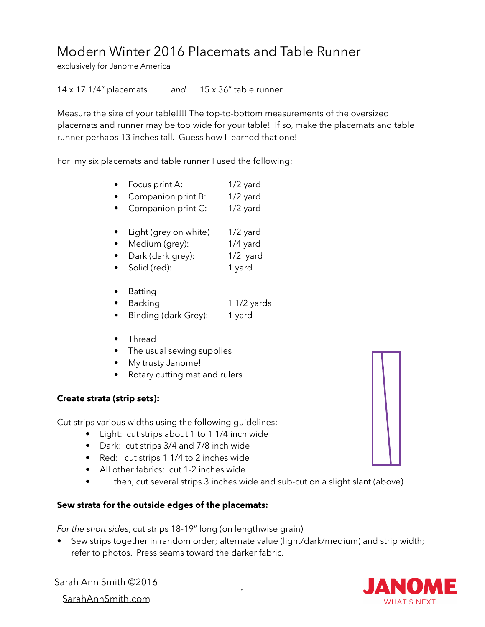## Modern Winter 2016 Placemats and Table Runner

exclusively for Janome America

14 x 17 1/4" placemats *and* 15 x 36" table runner

Measure the size of your table!!!! The top-to-bottom measurements of the oversized placemats and runner may be too wide for your table! If so, make the placemats and table runner perhaps 13 inches tall. Guess how I learned that one!

For my six placemats and table runner I used the following:

- Focus print A: 1/2 yard
- Companion print B: 1/2 yard
- Companion print C: 1/2 yard
- Light (grey on white) 1/2 yard
- Medium (grey): 1/4 yard
- Dark (dark grey): 1/2 yard
- Solid (red): 1 yard
- Batting
- Backing 1 1/2 yards
- Binding (dark Grey): 1 yard
- Thread
- The usual sewing supplies
- My trusty Janome!
- Rotary cutting mat and rulers

## **Create strata (strip sets):**

Cut strips various widths using the following guidelines:

- Light: cut strips about 1 to 1 1/4 inch wide
- Dark: cut strips 3/4 and 7/8 inch wide
- Red: cut strips 1 1/4 to 2 inches wide
- All other fabrics: cut 1-2 inches wide
- then, cut several strips 3 inches wide and sub-cut on a slight slant (above)

## **Sew strata for the outside edges of the placemats:**

*For the short sides*, cut strips 18-19" long (on lengthwise grain)

• Sew strips together in random order; alternate value (light/dark/medium) and strip width; refer to photos. Press seams toward the darker fabric.

Sarah Ann Smith ©2016

<sup>1</sup> SarahAnnSmith.com